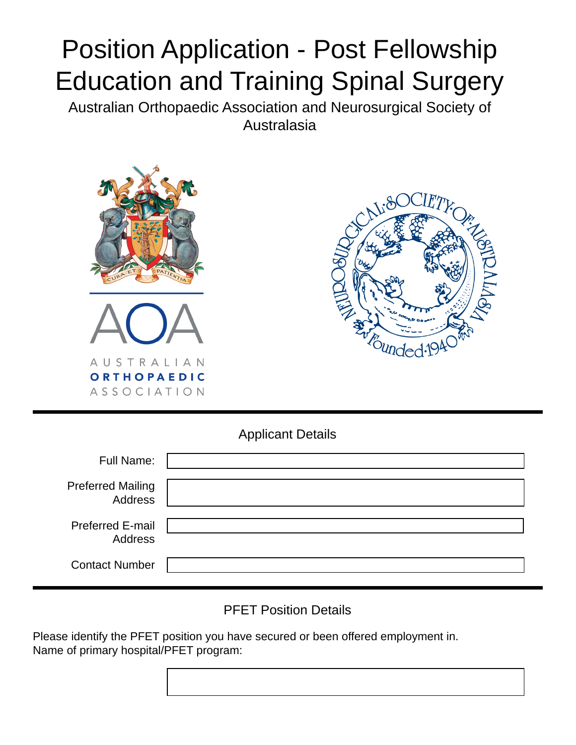## Position Application - Post Fellowship Education and Training Spinal Surgery

Australian Orthopaedic Association and Neurosurgical Society of Australasia





Applicant Details

| <b>Full Name:</b>                          |  |
|--------------------------------------------|--|
| <b>Preferred Mailing</b><br><b>Address</b> |  |
| <b>Preferred E-mail</b><br><b>Address</b>  |  |
| <b>Contact Number</b>                      |  |

PFET Position Details

Please identify the PFET position you have secured or been offered employment in. Name of primary hospital/PFET program: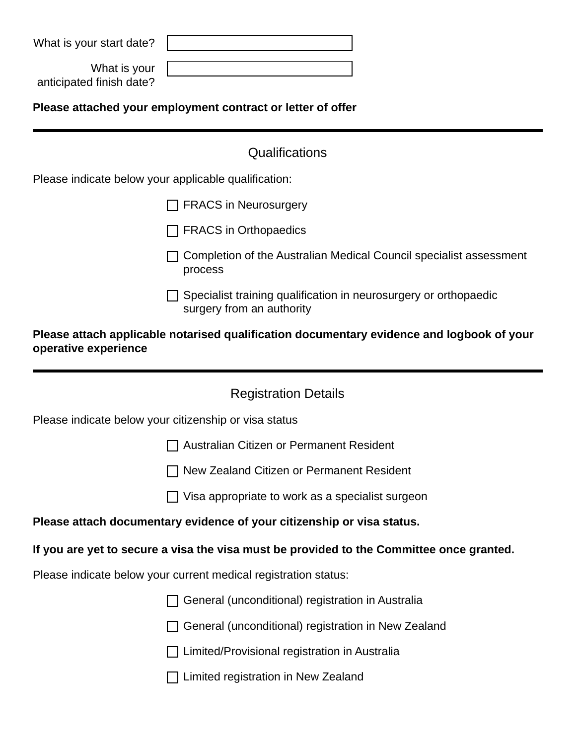| What is your start date?                                    |                                                                                               |  |
|-------------------------------------------------------------|-----------------------------------------------------------------------------------------------|--|
| What is your<br>anticipated finish date?                    |                                                                                               |  |
| Please attached your employment contract or letter of offer |                                                                                               |  |
|                                                             | Qualifications                                                                                |  |
|                                                             | Please indicate below your applicable qualification:                                          |  |
|                                                             | <b>FRACS in Neurosurgery</b>                                                                  |  |
|                                                             | <b>FRACS</b> in Orthopaedics                                                                  |  |
|                                                             | Completion of the Australian Medical Council specialist assessment<br>process                 |  |
|                                                             | Specialist training qualification in neurosurgery or orthopaedic<br>surgery from an authority |  |
| operative experience                                        | Please attach applicable notarised qualification documentary evidence and logbook of your     |  |
|                                                             |                                                                                               |  |
|                                                             | <b>Registration Details</b>                                                                   |  |
|                                                             | Please indicate below your citizenship or visa status                                         |  |
|                                                             | Australian Citizen or Permanent Resident                                                      |  |
|                                                             | New Zealand Citizen or Permanent Resident                                                     |  |
|                                                             | Visa appropriate to work as a specialist surgeon                                              |  |
|                                                             | Please attach documentary evidence of your citizenship or visa status.                        |  |
|                                                             | If you are yet to secure a visa the visa must be provided to the Committee once granted.      |  |
|                                                             | Please indicate below your current medical registration status:                               |  |
|                                                             | General (unconditional) registration in Australia                                             |  |
|                                                             | General (unconditional) registration in New Zealand                                           |  |
|                                                             | Limited/Provisional registration in Australia                                                 |  |